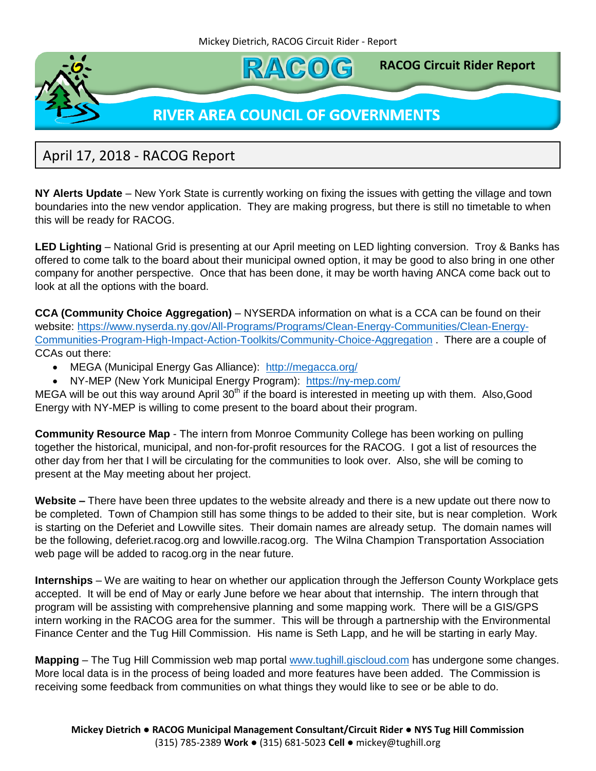

## April 17, 2018 - RACOG Report

**NY Alerts Update** – New York State is currently working on fixing the issues with getting the village and town boundaries into the new vendor application. They are making progress, but there is still no timetable to when this will be ready for RACOG.

**LED Lighting** – National Grid is presenting at our April meeting on LED lighting conversion. Troy & Banks has offered to come talk to the board about their municipal owned option, it may be good to also bring in one other company for another perspective. Once that has been done, it may be worth having ANCA come back out to look at all the options with the board.

**CCA (Community Choice Aggregation)** – NYSERDA information on what is a CCA can be found on their website: [https://www.nyserda.ny.gov/All-Programs/Programs/Clean-Energy-Communities/Clean-Energy-](https://www.nyserda.ny.gov/All-Programs/Programs/Clean-Energy-Communities/Clean-Energy-Communities-Program-High-Impact-Action-Toolkits/Community-Choice-Aggregation)[Communities-Program-High-Impact-Action-Toolkits/Community-Choice-Aggregation](https://www.nyserda.ny.gov/All-Programs/Programs/Clean-Energy-Communities/Clean-Energy-Communities-Program-High-Impact-Action-Toolkits/Community-Choice-Aggregation) . There are a couple of CCAs out there:

- MEGA (Municipal Energy Gas Alliance): <http://megacca.org/>
- NY-MEP (New York Municipal Energy Program): <https://ny-mep.com/>

MEGA will be out this way around April  $30<sup>th</sup>$  if the board is interested in meeting up with them. Also, Good Energy with NY-MEP is willing to come present to the board about their program.

**Community Resource Map** - The intern from Monroe Community College has been working on pulling together the historical, municipal, and non-for-profit resources for the RACOG. I got a list of resources the other day from her that I will be circulating for the communities to look over. Also, she will be coming to present at the May meeting about her project.

**Website –** There have been three updates to the website already and there is a new update out there now to be completed. Town of Champion still has some things to be added to their site, but is near completion. Work is starting on the Deferiet and Lowville sites. Their domain names are already setup. The domain names will be the following, deferiet.racog.org and lowville.racog.org. The Wilna Champion Transportation Association web page will be added to racog.org in the near future.

**Internships** – We are waiting to hear on whether our application through the Jefferson County Workplace gets accepted. It will be end of May or early June before we hear about that internship. The intern through that program will be assisting with comprehensive planning and some mapping work. There will be a GIS/GPS intern working in the RACOG area for the summer. This will be through a partnership with the Environmental Finance Center and the Tug Hill Commission. His name is Seth Lapp, and he will be starting in early May.

**Mapping** – The Tug Hill Commission web map portal<www.tughill.giscloud.com> has undergone some changes. More local data is in the process of being loaded and more features have been added. The Commission is receiving some feedback from communities on what things they would like to see or be able to do.